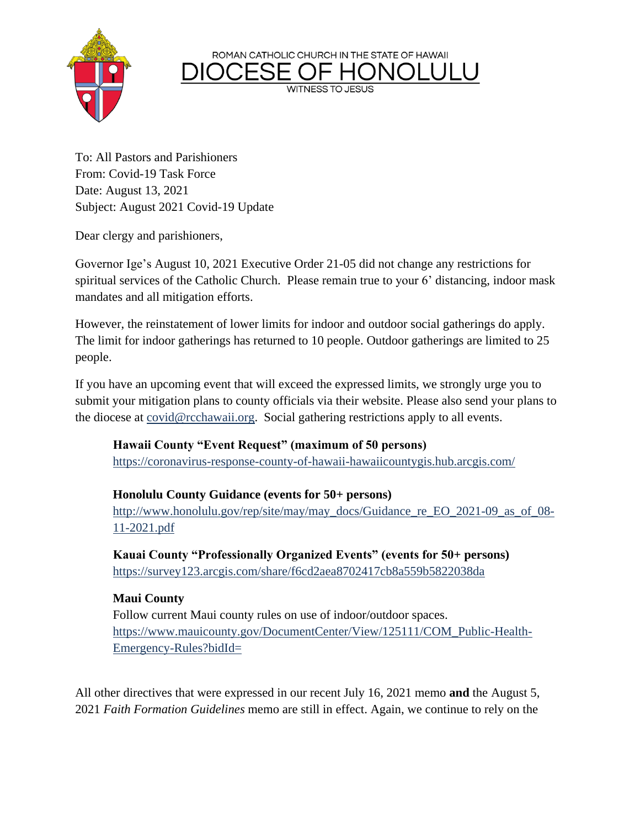ROMAN CATHOLIC CHURCH IN THE STATE OF HAWAII

**WITNESS TO JESUS** 



To: All Pastors and Parishioners From: Covid-19 Task Force Date: August 13, 2021 Subject: August 2021 Covid-19 Update

Dear clergy and parishioners,

Governor Ige's August 10, 2021 Executive Order 21-05 did not change any restrictions for spiritual services of the Catholic Church. Please remain true to your 6' distancing, indoor mask mandates and all mitigation efforts.

However, the reinstatement of lower limits for indoor and outdoor social gatherings do apply. The limit for indoor gatherings has returned to 10 people. Outdoor gatherings are limited to 25 people.

If you have an upcoming event that will exceed the expressed limits, we strongly urge you to submit your mitigation plans to county officials via their website. Please also send your plans to the diocese at [covid@rcchawaii.org.](mailto:covid@rcchawaii.org) Social gathering restrictions apply to all events.

## **Hawaii County "Event Request" (maximum of 50 persons)**

<https://coronavirus-response-county-of-hawaii-hawaiicountygis.hub.arcgis.com/>

## **Honolulu County Guidance (events for 50+ persons)**

[http://www.honolulu.gov/rep/site/may/may\\_docs/Guidance\\_re\\_EO\\_2021-09\\_as\\_of\\_08-](http://www.honolulu.gov/rep/site/may/may_docs/Guidance_re_EO_2021-09_as_of_08-11-2021.pdf) [11-2021.pdf](http://www.honolulu.gov/rep/site/may/may_docs/Guidance_re_EO_2021-09_as_of_08-11-2021.pdf)

**Kauai County "Professionally Organized Events" (events for 50+ persons)** <https://survey123.arcgis.com/share/f6cd2aea8702417cb8a559b5822038da>

## **Maui County**

Follow current Maui county rules on use of indoor/outdoor spaces. [https://www.mauicounty.gov/DocumentCenter/View/125111/COM\\_Public-Health-](https://www.mauicounty.gov/DocumentCenter/View/125111/COM_Public-Health-Emergency-Rules?bidId=)[Emergency-Rules?bidId=](https://www.mauicounty.gov/DocumentCenter/View/125111/COM_Public-Health-Emergency-Rules?bidId=)

All other directives that were expressed in our recent July 16, 2021 memo **and** the August 5, 2021 *Faith Formation Guidelines* memo are still in effect. Again, we continue to rely on the